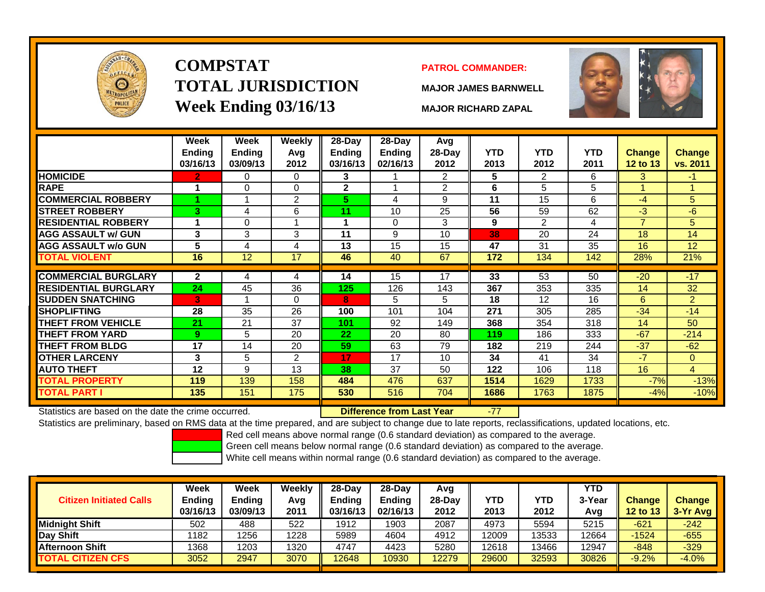

# **COMPSTATTOTAL JURISDICTIONWeek Ending 03/16/13 MAJOR RICHARD ZAPAL**

## **PATROL COMMANDER:**

**MAJOR JAMES BARNWELL**



-77

|                             | Week<br><b>Endina</b><br>03/16/13 | Week<br><b>Endina</b><br>03/09/13 | <b>Weekly</b><br>Avg<br>2012 | 28-Day<br><b>Endina</b><br>03/16/13 | 28-Day<br><b>Endina</b><br>02/16/13 | Avg<br>$28-Day$<br>2012 | <b>YTD</b><br>2013 | <b>YTD</b><br>2012 | <b>YTD</b><br>2011 | <b>Change</b><br><b>12 to 13</b> | <b>Change</b><br>vs. 2011 |
|-----------------------------|-----------------------------------|-----------------------------------|------------------------------|-------------------------------------|-------------------------------------|-------------------------|--------------------|--------------------|--------------------|----------------------------------|---------------------------|
| <b>HOMICIDE</b>             | 2                                 | 0                                 | 0                            | 3                                   |                                     | $\overline{2}$          | 5                  | 2                  | 6                  | 3                                | $-1$                      |
| <b>RAPE</b>                 | 1                                 | 0                                 | $\Omega$                     | $\mathbf{2}$                        |                                     | 2                       | 6                  | 5                  | 5                  |                                  |                           |
| <b>COMMERCIAL ROBBERY</b>   |                                   |                                   | $\overline{2}$               | 5.                                  | 4                                   | 9                       | 11                 | 15                 | 6                  | $-4$                             | 5                         |
| <b>STREET ROBBERY</b>       | 3                                 | 4                                 | 6                            | 11                                  | 10                                  | 25                      | 56                 | 59                 | 62                 | $-3$                             | $-6$                      |
| <b>RESIDENTIAL ROBBERY</b>  | 1                                 | 0                                 |                              |                                     | $\Omega$                            | 3                       | 9                  | $\mathfrak{p}$     | 4                  | 7                                | 5                         |
| <b>AGG ASSAULT w/ GUN</b>   | 3                                 | 3                                 | 3                            | 11                                  | 9                                   | 10                      | 38                 | 20                 | 24                 | 18                               | 14                        |
| <b>AGG ASSAULT w/o GUN</b>  | 5                                 | 4                                 | 4                            | 13                                  | 15                                  | 15                      | 47                 | 31                 | 35                 | 16                               | 12                        |
| <b>TOTAL VIOLENT</b>        | 16                                | 12                                | 17                           | 46                                  | 40                                  | 67                      | 172                | 134                | 142                | 28%                              | 21%                       |
|                             |                                   |                                   |                              |                                     |                                     |                         |                    |                    |                    |                                  |                           |
| <b>COMMERCIAL BURGLARY</b>  | $\mathbf{2}$                      | 4                                 | 4                            | 14                                  | 15                                  | 17                      | 33                 | 53                 | 50                 | $-20$                            | $-17$                     |
| <b>RESIDENTIAL BURGLARY</b> | 24                                | 45                                | 36                           | 125                                 | 126                                 | 143                     | 367                | 353                | 335                | 14                               | 32                        |
| <b>SUDDEN SNATCHING</b>     | 3                                 |                                   | $\Omega$                     | 8                                   | 5                                   | 5                       | 18                 | 12                 | 16                 | 6                                | $\overline{2}$            |
| SHOPLIFTING                 | 28                                | 35                                | 26                           | 100                                 | 101                                 | 104                     | 271                | 305                | 285                | $-34$                            | $-14$                     |
| <b>THEFT FROM VEHICLE</b>   | 21                                | 21                                | 37                           | 101                                 | 92                                  | 149                     | 368                | 354                | 318                | 14                               | 50                        |
| THEFT FROM YARD             | 9                                 | 5                                 | 20                           | 22                                  | 20                                  | 80                      | 119                | 186                | 333                | $-67$                            | $-214$                    |
| THEFT FROM BLDG             | 17                                | 14                                | 20                           | 59                                  | 63                                  | 79                      | 182                | 219                | 244                | $-37$                            | $-62$                     |
| <b>OTHER LARCENY</b>        | 3                                 | 5                                 | $\overline{2}$               | 17                                  | 17                                  | 10                      | 34                 | 41                 | 34                 | $-7$                             | 0                         |
| <b>AUTO THEFT</b>           | 12                                | 9                                 | 13                           | 38                                  | 37                                  | 50                      | 122                | 106                | 118                | 16                               | 4                         |
| <b>TOTAL PROPERTY</b>       | 119                               | 139                               | 158                          | 484                                 | 476                                 | 637                     | 1514               | 1629               | 1733               | $-7%$                            | $-13%$                    |
| TOTAL PART I                | 135                               | 151                               | 175                          | 530                                 | 516                                 | 704                     | 1686               | 1763               | 1875               | $-4%$                            | $-10%$                    |

Statistics are based on the date the crime occurred. **Difference from Last Year** 

Statistics are preliminary, based on RMS data at the time prepared, and are subject to change due to late reports, reclassifications, updated locations, etc.

Red cell means above normal range (0.6 standard deviation) as compared to the average.

Green cell means below normal range (0.6 standard deviation) as compared to the average.

| <b>Citizen Initiated Calls</b> | Week<br><b>Ending</b><br>03/16/13 | <b>Week</b><br><b>Ending</b><br>03/09/13 | Weekly<br>Avg<br>2011 | $28-Dav$<br>Ending<br>03/16/13 | 28-Dav<br><b>Endina</b><br>02/16/13 | Avg<br>28-Dav<br>2012 | YTD<br>2013 | <b>YTD</b><br>2012 | <b>YTD</b><br>3-Year<br>Avg | <b>Change</b><br>12 to 13 | Change<br>3-Yr Avg |
|--------------------------------|-----------------------------------|------------------------------------------|-----------------------|--------------------------------|-------------------------------------|-----------------------|-------------|--------------------|-----------------------------|---------------------------|--------------------|
| <b>I</b> Midniaht Shift        | 502                               | 488                                      | 522                   | 1912                           | 1903                                | 2087                  | 4973        | 5594               | 5215                        | $-621$                    | $-242$             |
| Day Shift                      | 182                               | 1256                                     | 1228                  | 5989                           | 4604                                | 4912                  | 12009       | 13533              | 12664                       | $-1524$                   | $-655$             |
| <b>Afternoon Shift</b>         | 1368                              | 1203                                     | 1320                  | 4747                           | 4423                                | 5280                  | 12618       | 13466              | 12947                       | $-848$                    | $-329$             |
| <b>TOTAL CITIZEN CFS</b>       | 3052                              | 2947                                     | 3070                  | 2648                           | 10930                               | 2279                  | 29600       | 32593              | 30826                       | $-9.2%$                   | $-4.0%$            |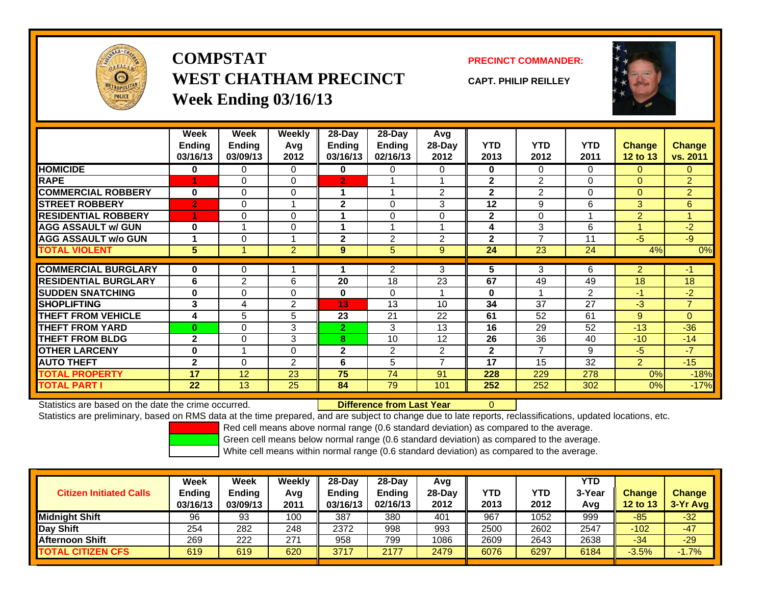

**COMPSTATWEST CHATHAM PRECINCTWeek Ending 03/16/13**

**PRECINCT COMMANDER:**

**CAPT. PHILIP REILLEY**



|                              | Week           | Week           | Weekly         | $28-Day$       | $28-Day$       | <b>Avg</b>     |              |                          |            |                |                |
|------------------------------|----------------|----------------|----------------|----------------|----------------|----------------|--------------|--------------------------|------------|----------------|----------------|
|                              | <b>Ending</b>  | <b>Ending</b>  | Avg            | Ending         | <b>Ending</b>  | 28-Day         | <b>YTD</b>   | <b>YTD</b>               | <b>YTD</b> | <b>Change</b>  | <b>Change</b>  |
|                              | 03/16/13       | 03/09/13       | 2012           | 03/16/13       | 02/16/13       | 2012           | 2013         | 2012                     | 2011       | 12 to 13       | vs. 2011       |
| <b>HOMICIDE</b>              | 0              | 0              | 0              | 0              | 0              | 0              | 0            | $\Omega$                 | $\Omega$   | $\mathbf{0}$   | $\Omega$       |
| <b>RAPE</b>                  | 1              | 0              | $\Omega$       | $\overline{2}$ |                |                | $\mathbf{2}$ | $\overline{2}$           | $\Omega$   | $\mathbf{0}$   | $\overline{2}$ |
| <b>COMMERCIAL ROBBERY</b>    | $\mathbf{0}$   | 0              | 0              |                |                | $\overline{2}$ | $\mathbf{2}$ | 2                        | $\Omega$   | $\mathbf{0}$   | $\overline{2}$ |
| <b>STREET ROBBERY</b>        | $\overline{2}$ | 0              |                | 2              | 0              | 3              | 12           | 9                        | 6          | 3              | 6              |
| <b>RESIDENTIAL ROBBERY</b>   | 1              | 0              | 0              |                | $\Omega$       | $\Omega$       | $\mathbf{2}$ | $\Omega$                 |            | $\overline{2}$ | 1              |
| <b>AGG ASSAULT w/ GUN</b>    | $\bf{0}$       |                | 0              |                |                |                | 4            | 3                        | 6          |                | $-2$           |
| <b>AGG ASSAULT w/o GUN</b>   |                | 0              |                | $\overline{2}$ | 2              | 2              | $\mathbf{2}$ | $\overline{\phantom{a}}$ | 11         | $-5$           | $-9$           |
| <b>TOTAL VIOLENT</b>         | 5              |                | $\overline{2}$ | 9              | 5              | 9              | 24           | 23                       | 24         | 4%             | 0%             |
|                              |                |                |                |                |                |                |              |                          |            |                |                |
| <b>COMMERCIAL BURGLARY</b>   | $\bf{0}$       | 0              |                |                | $\overline{2}$ | 3              | 5            | 3                        | 6          | $\overline{2}$ | $-1$           |
| <b>IRESIDENTIAL BURGLARY</b> | 6              | $\overline{2}$ | 6              | 20             | 18             | 23             | 67           | 49                       | 49         | 18             | 18             |
| <b>SUDDEN SNATCHING</b>      | $\bf{0}$       | $\Omega$       | 0              | $\bf{0}$       | $\Omega$       |                | $\bf{0}$     |                          | 2          | $-1$           | $-2$           |
| <b>SHOPLIFTING</b>           | 3              | 4              | 2              | 13             | 13             | 10             | 34           | 37                       | 27         | $-3$           | $\overline{7}$ |
| <b>THEFT FROM VEHICLE</b>    | 4              | 5              | 5              | 23             | 21             | 22             | 61           | 52                       | 61         | 9              | $\Omega$       |
| <b>THEFT FROM YARD</b>       | $\bf{0}$       | $\Omega$       | 3              | $\overline{2}$ | 3              | 13             | 16           | 29                       | 52         | $-13$          | $-36$          |
| <b>THEFT FROM BLDG</b>       | $\mathbf{2}$   | $\Omega$       | 3              | 8              | 10             | 12             | 26           | 36                       | 40         | $-10$          | $-14$          |
| <b>OTHER LARCENY</b>         | $\bf{0}$       |                | 0              | $\mathbf{2}$   | 2              | 2              | $\mathbf{2}$ | 7                        | 9          | $-5$           | $-7$           |
| <b>AUTO THEFT</b>            | $\mathbf{2}$   | $\Omega$       | $\overline{2}$ | 6              | 5              | $\overline{ }$ | 17           | 15                       | 32         | $\overline{2}$ | $-15$          |
| <b>TOTAL PROPERTY</b>        | 17             | 12             | 23             | 75             | 74             | 91             | 228          | 229                      | 278        | 0%             | $-18%$         |
| <b>TOTAL PART I</b>          | 22             | 13             | 25             | 84             | 79             | 101            | 252          | 252                      | 302        | 0%             | $-17%$         |

Statistics are based on the date the crime occurred. **Difference from Last Year** 

Statistics are preliminary, based on RMS data at the time prepared, and are subject to change due to late reports, reclassifications, updated locations, etc.

0

Red cell means above normal range (0.6 standard deviation) as compared to the average.

Green cell means below normal range (0.6 standard deviation) as compared to the average.

| <b>Citizen Initiated Calls</b> | Week<br>Ending<br>03/16/13 | <b>Week</b><br><b>Ending</b><br>03/09/13 | Weekly<br>Avg<br>2011 | 28-Dav<br>Ending<br>03/16/13 | $28-Day$<br><b>Ending</b><br>02/16/13 | Avg<br>$28-Dav$<br>2012 | YTD<br>2013 | YTD<br>2012 | <b>YTD</b><br>3-Year<br>Avg | <b>Change</b><br><b>12 to 13</b> | <b>Change</b><br>3-Yr Avg |
|--------------------------------|----------------------------|------------------------------------------|-----------------------|------------------------------|---------------------------------------|-------------------------|-------------|-------------|-----------------------------|----------------------------------|---------------------------|
| <b>Midnight Shift</b>          | 96                         | 93                                       | 100                   | 387                          | 380                                   | 401                     | 967         | 1052        | 999                         | -85                              | $-32$                     |
| Day Shift                      | 254                        | 282                                      | 248                   | 2372                         | 998                                   | 993                     | 2500        | 2602        | 2547                        | $-102$                           | $-47$                     |
| <b>Afternoon Shift</b>         | 269                        | 222                                      | 271                   | 958                          | 799                                   | 1086                    | 2609        | 2643        | 2638                        | $-34$                            | $-29$                     |
| <b>TOTAL CITIZEN CFS</b>       | 619                        | 619                                      | 620                   | 3717                         | 2177                                  | 2479                    | 6076        | 6297        | 6184                        | $-3.5%$                          | $-1.7%$                   |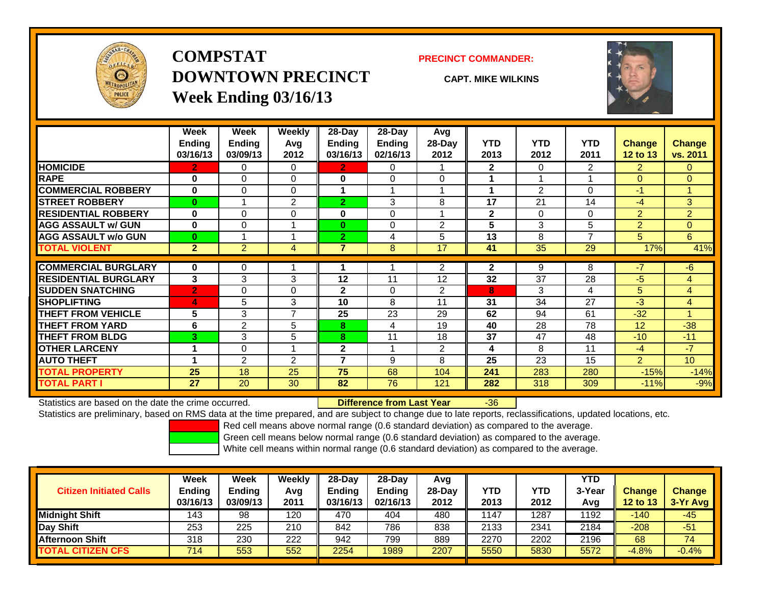

## **COMPSTATDOWNTOWN PRECINCTWeek Ending 03/16/13**

### **PRECINCT COMMANDER:**

**CAPT. MIKE WILKINS**



|                             | Week           | Week           | Weekly         | $28-Day$       | $28-Day$      | Avg                     |              |                |                |                 |                |
|-----------------------------|----------------|----------------|----------------|----------------|---------------|-------------------------|--------------|----------------|----------------|-----------------|----------------|
|                             | <b>Ending</b>  | Ending         | Avg            | Ending         | <b>Ending</b> | 28-Day                  | <b>YTD</b>   | <b>YTD</b>     | <b>YTD</b>     | <b>Change</b>   | Change         |
|                             | 03/16/13       | 03/09/13       | 2012           | 03/16/13       | 02/16/13      | 2012                    | 2013         | 2012           | 2011           | <b>12 to 13</b> | vs. 2011       |
| <b>HOMICIDE</b>             | $\mathbf{2}$   | 0              | 0              | 2.             | 0             |                         | $\mathbf{2}$ | $\Omega$       | $\overline{2}$ | $\overline{2}$  | $\Omega$       |
| <b>RAPE</b>                 | $\bf{0}$       | 0              | $\Omega$       | 0              | 0             | $\Omega$                |              |                |                | $\Omega$        | $\Omega$       |
| <b>COMMERCIAL ROBBERY</b>   | $\bf{0}$       | $\Omega$       | $\Omega$       |                |               | 1                       |              | $\mathfrak{p}$ | 0              | -1              |                |
| <b>STREET ROBBERY</b>       | $\bf{0}$       |                | $\overline{2}$ | $\overline{2}$ | 3             | 8                       | 17           | 21             | 14             | -4              | 3              |
| <b>RESIDENTIAL ROBBERY</b>  | $\bf{0}$       | 0              | $\Omega$       | 0              | $\Omega$      | $\overline{\mathbf{A}}$ | $\mathbf{2}$ | $\Omega$       | 0              | 2               | $\overline{2}$ |
| <b>AGG ASSAULT w/ GUN</b>   | $\bf{0}$       | $\Omega$       | 1              | $\bf{0}$       | $\Omega$      | $\overline{2}$          | 5            | 3              | 5              | $\overline{2}$  | $\Omega$       |
| <b>AGG ASSAULT w/o GUN</b>  | $\bf{0}$       |                | 1              | $\overline{2}$ | 4             | 5                       | 13           | 8              | $\overline{ }$ | 5               | 6              |
| <b>TOTAL VIOLENT</b>        | 2 <sup>1</sup> | $\overline{2}$ | 4              | 7              | 8             | 17                      | 41           | 35             | 29             | 17%             | 41%            |
| <b>COMMERCIAL BURGLARY</b>  | $\bf{0}$       | 0              | 4              |                |               | $\overline{2}$          | $\mathbf{2}$ | 9              | 8              | $-7$            | $-6$           |
| <b>RESIDENTIAL BURGLARY</b> | 3              | 3              | 3              | 12             | 11            | 12                      | 32           | 37             | 28             | -5              | 4              |
| <b>SUDDEN SNATCHING</b>     | $\overline{2}$ | 0              | $\Omega$       | $\mathbf{2}$   | $\Omega$      | 2                       | 8            | 3              | 4              | 5               | 4              |
| <b>SHOPLIFTING</b>          | 4              | 5              | 3              | 10             | 8             | 11                      | 31           | 34             | 27             | -3              | 4              |
| <b>THEFT FROM VEHICLE</b>   | 5              | 3              | $\overline{7}$ | 25             | 23            | 29                      | 62           | 94             | 61             | $-32$           |                |
| <b>THEFT FROM YARD</b>      | 6              | $\overline{2}$ | 5              | 8              | 4             | 19                      | 40           | 28             | 78             | 12              | $-38$          |
| <b>THEFT FROM BLDG</b>      | 3              | 3              | 5              | 8              | 11            | 18                      | 37           | 47             | 48             | $-10$           | $-11$          |
| <b>OTHER LARCENY</b>        |                | 0              | 1              | $\mathbf{2}$   |               | $\overline{2}$          | 4            | 8              | 11             | $-4$            | $-7$           |
| <b>AUTO THEFT</b>           |                | $\overline{2}$ | $\overline{2}$ | ⇁              | 9             | 8                       | 25           | 23             | 15             | $\overline{2}$  | 10             |
| <b>TOTAL PROPERTY</b>       | 25             | 18             | 25             | 75             | 68            | 104                     | 241          | 283            | 280            | $-15%$          | $-14%$         |
| <b>TOTAL PART I</b>         | 27             | 20             | 30             | 82             | 76            | 121                     | 282          | 318            | 309            | $-11%$          | $-9%$          |

Statistics are based on the date the crime occurred. **Difference from Last Year** 

r -36

Statistics are preliminary, based on RMS data at the time prepared, and are subject to change due to late reports, reclassifications, updated locations, etc.

Red cell means above normal range (0.6 standard deviation) as compared to the average.

Green cell means below normal range (0.6 standard deviation) as compared to the average.

| <b>Citizen Initiated Calls</b> | Week<br><b>Ending</b><br>03/16/13 | Week<br><b>Ending</b><br>03/09/13 | Weekly<br>Avg<br>2011 | $28-Day$<br><b>Ending</b><br>03/16/13 | $28-Day$<br><b>Ending</b><br>02/16/13 | Avg<br>28-Dav<br>2012 | YTD<br>2013 | <b>YTD</b><br>2012 | YTD<br>3-Year<br>Avg | <b>Change</b><br><b>12 to 13</b> | <b>Change</b><br>$3-Yr$ Avg |
|--------------------------------|-----------------------------------|-----------------------------------|-----------------------|---------------------------------------|---------------------------------------|-----------------------|-------------|--------------------|----------------------|----------------------------------|-----------------------------|
| <b>Midnight Shift</b>          | 143                               | 98                                | 120                   | 470                                   | 404                                   | 480                   | 1147        | 1287               | 1192                 | $-140$                           | $-45$                       |
| Day Shift                      | 253                               | 225                               | 210                   | 842                                   | 786                                   | 838                   | 2133        | 2341               | 2184                 | $-208$                           | $-51$                       |
| <b>Afternoon Shift</b>         | 318                               | 230                               | 222                   | 942                                   | 799                                   | 889                   | 2270        | 2202               | 2196                 | 68                               | 74                          |
| <b>TOTAL CITIZEN CFS</b>       | 714                               | 553                               | 552                   | 2254                                  | 1989                                  | 2207                  | 5550        | 5830               | 5572                 | $-4.8%$                          | $-0.4%$                     |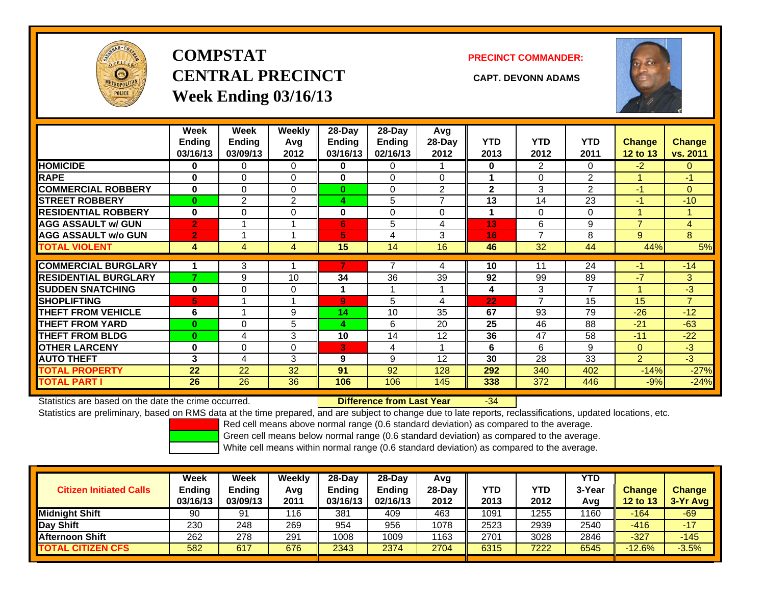

# **COMPSTATCENTRAL PRECINCT CAPT. DEVONN ADAMSWeek Ending 03/16/13**

**PRECINCT COMMANDER:**



|                             | Week<br><b>Ending</b><br>03/16/13 | Week<br><b>Ending</b><br>03/09/13 | <b>Weekly</b><br>Avg<br>2012 | 28-Day<br>Ending<br>03/16/13 | 28-Day<br><b>Ending</b><br>02/16/13 | Avg<br>$28-Day$<br>2012 | <b>YTD</b><br>2013 | <b>YTD</b><br>2012 | <b>YTD</b><br>2011 | <b>Change</b><br><b>12 to 13</b> | <b>Change</b><br>vs. 2011 |
|-----------------------------|-----------------------------------|-----------------------------------|------------------------------|------------------------------|-------------------------------------|-------------------------|--------------------|--------------------|--------------------|----------------------------------|---------------------------|
| <b>HOMICIDE</b>             | 0                                 | 0                                 | 0                            | 0                            | 0                                   |                         | $\mathbf{0}$       | $\overline{2}$     | 0                  | $-2$                             | $\overline{0}$            |
| <b>RAPE</b>                 | $\bf{0}$                          | $\Omega$                          | $\Omega$                     | 0                            | 0                                   | 0                       |                    | $\Omega$           | $\overline{2}$     |                                  | $-1$                      |
| <b>COMMERCIAL ROBBERY</b>   | $\bf{0}$                          | $\Omega$                          | $\Omega$                     | $\bf{0}$                     | 0                                   | $\overline{2}$          | $\mathbf{2}$       | 3                  | 2                  | $-1$                             | $\overline{0}$            |
| <b>STREET ROBBERY</b>       | $\bf{0}$                          | 2                                 | 2                            | 4                            | 5                                   | $\overline{ }$          | 13                 | 14                 | 23                 | $-1$                             | $-10$                     |
| <b>RESIDENTIAL ROBBERY</b>  | $\bf{0}$                          | $\Omega$                          | 0                            | $\bf{0}$                     | $\Omega$                            | $\Omega$                |                    | $\Omega$           | $\Omega$           |                                  |                           |
| <b>AGG ASSAULT w/ GUN</b>   | $\overline{2}$                    |                                   |                              | 6                            | 5                                   | 4                       | 13                 | 6                  | 9                  | $\overline{7}$                   | $\overline{4}$            |
| <b>AGG ASSAULT w/o GUN</b>  | $\overline{2}$                    |                                   | A                            | 5                            | 4                                   | 3                       | 16                 | $\overline{ }$     | 8                  | 9                                | 8                         |
| <b>TOTAL VIOLENT</b>        | 4                                 | $\overline{4}$                    | 4                            | 15                           | 14                                  | 16                      | 46                 | 32                 | 44                 | 44%                              | 5%                        |
|                             |                                   |                                   |                              |                              |                                     |                         |                    |                    |                    |                                  |                           |
| <b>COMMERCIAL BURGLARY</b>  |                                   | 3                                 |                              |                              |                                     | 4                       | 10                 | 11                 | 24                 | -1                               | $-14$                     |
| <b>RESIDENTIAL BURGLARY</b> | 7                                 | 9                                 | 10                           | 34                           | 36                                  | 39                      | 92                 | 99                 | 89                 | $-7$                             | 3                         |
| <b>SUDDEN SNATCHING</b>     | $\bf{0}$                          | $\Omega$                          | $\Omega$                     |                              |                                     |                         | 4                  | 3                  | 7                  |                                  | $-3$                      |
| <b>SHOPLIFTING</b>          | 5                                 |                                   |                              | $\overline{9}$               | 5                                   | 4                       | 22                 | $\overline{ }$     | 15                 | 15                               | $\overline{7}$            |
| <b>THEFT FROM VEHICLE</b>   | 6                                 | 4                                 | 9                            | 14                           | 10                                  | 35                      | 67                 | 93                 | 79                 | $-26$                            | $-12$                     |
| <b>THEFT FROM YARD</b>      | $\bf{0}$                          | $\Omega$                          | 5                            | 4                            | 6                                   | 20                      | 25                 | 46                 | 88                 | $-21$                            | $-63$                     |
| <b>THEFT FROM BLDG</b>      | $\bf{0}$                          | 4                                 | 3                            | 10                           | 14                                  | 12                      | 36                 | 47                 | 58                 | $-11$                            | $-22$                     |
| <b>OTHER LARCENY</b>        | 0                                 | $\Omega$                          | 0                            | 3                            | 4                                   |                         | 6                  | 6                  | 9                  | $\mathbf{0}$                     | $-3$                      |
| <b>AUTO THEFT</b>           | 3                                 | 4                                 | 3                            | 9                            | 9                                   | 12                      | 30                 | 28                 | 33                 | $\overline{2}$                   | $-3$                      |
| <b>TOTAL PROPERTY</b>       | 22                                | 22                                | 32                           | 91                           | 92                                  | 128                     | 292                | 340                | 402                | $-14%$                           | $-27%$                    |
| <b>TOTAL PART I</b>         | 26                                | 26                                | 36                           | 106                          | 106                                 | 145                     | 338                | 372                | 446                | $-9%$                            | $-24%$                    |

Statistics are based on the date the crime occurred. **Difference from Last Year** 

-34

Statistics are preliminary, based on RMS data at the time prepared, and are subject to change due to late reports, reclassifications, updated locations, etc.

Red cell means above normal range (0.6 standard deviation) as compared to the average.

Green cell means below normal range (0.6 standard deviation) as compared to the average.

|                                | Week                      | Week               | Weekly      | $28-Dav$                  | 28-Day                    | Avg              |                    |                    | <b>YTD</b>    |                           |                             |
|--------------------------------|---------------------------|--------------------|-------------|---------------------------|---------------------------|------------------|--------------------|--------------------|---------------|---------------------------|-----------------------------|
| <b>Citizen Initiated Calls</b> | <b>Ending</b><br>03/16/13 | Ending<br>03/09/13 | Avg<br>2011 | <b>Ending</b><br>03/16/13 | <b>Ending</b><br>02/16/13 | $28-Day$<br>2012 | <b>YTD</b><br>2013 | <b>YTD</b><br>2012 | 3-Year<br>Avg | <b>Change</b><br>12 to 13 | <b>Change</b><br>$3-Yr$ Avg |
| <b>Midnight Shift</b>          | 90                        | 91                 | 116         | 381                       | 409                       | 463              | 1091               | 255                | 1160          | -164                      | $-69$                       |
| Day Shift                      | 230                       | 248                | 269         | 954                       | 956                       | 1078             | 2523               | 2939               | 2540          | $-416$                    | $-17$                       |
| <b>Afternoon Shift</b>         | 262                       | 278                | 291         | 1008                      | 1009                      | 1163             | 2701               | 3028               | 2846          | $-327$                    | $-145$                      |
| <b>TOTAL CITIZEN CFS</b>       | 582                       | 617                | 676         | 2343                      | 2374                      | 2704             | 6315               | 7222               | 6545          | $-12.6%$                  | $-3.5%$                     |
|                                |                           |                    |             |                           |                           |                  |                    |                    |               |                           |                             |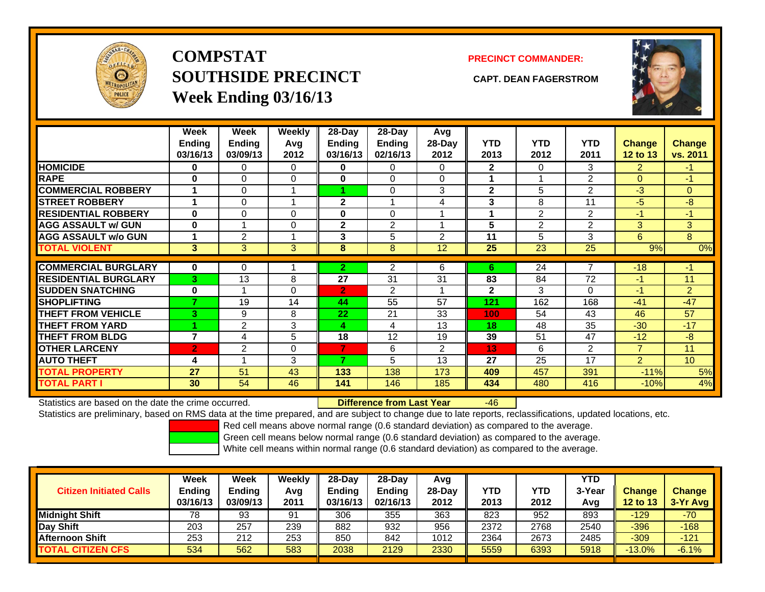

**COMPSTATSOUTHSIDE PRECINCT CAPT. DEAN FAGERSTROMWeek Ending 03/16/13**

### **PRECINCT COMMANDER:**



|                             | Week<br><b>Ending</b><br>03/16/13 | Week<br><b>Ending</b><br>03/09/13 | <b>Weekly</b><br>Avg<br>2012 | 28-Day<br>Ending<br>03/16/13 | 28-Day<br>Ending<br>02/16/13 | Avg<br>28-Day<br>2012 | <b>YTD</b><br>2013 | <b>YTD</b><br>2012 | <b>YTD</b><br>2011 | <b>Change</b><br>12 to 13 | <b>Change</b><br>vs. 2011 |
|-----------------------------|-----------------------------------|-----------------------------------|------------------------------|------------------------------|------------------------------|-----------------------|--------------------|--------------------|--------------------|---------------------------|---------------------------|
| <b>HOMICIDE</b>             | 0                                 | 0                                 | 0                            | 0                            | 0                            | 0                     | $\mathbf{2}$       | 0                  | 3                  | $\overline{2}$            | $-1$                      |
| <b>RAPE</b>                 | 0                                 | 0                                 | 0                            | 0                            | $\Omega$                     | $\Omega$              |                    |                    | 2                  | $\Omega$                  | -1                        |
| <b>COMMERCIAL ROBBERY</b>   | 4                                 | 0                                 | <b>A</b>                     |                              | $\Omega$                     | 3                     | $\mathbf{2}$       | 5                  | 2                  | $-3$                      | $\overline{0}$            |
| <b>STREET ROBBERY</b>       | 1                                 | 0                                 |                              | $\mathbf{2}$                 |                              | 4                     | 3                  | 8                  | 11                 | $-5$                      | -8                        |
| <b>RESIDENTIAL ROBBERY</b>  | $\bf{0}$                          | 0                                 | $\Omega$                     | $\bf{0}$                     | $\Omega$                     |                       |                    | $\overline{2}$     | $\overline{2}$     | -1                        | $-1$                      |
| <b>AGG ASSAULT w/ GUN</b>   | $\bf{0}$                          |                                   | 0                            | $\mathbf{2}$                 | $\overline{2}$               | 4                     | 5                  | $\overline{2}$     | 2                  | 3                         | 3                         |
| <b>AGG ASSAULT w/o GUN</b>  |                                   | 2                                 |                              | 3                            | 5                            | $\mathfrak{p}$        | 11                 | 5                  | 3                  | 6                         | 8                         |
| <b>TOTAL VIOLENT</b>        | 3                                 | 3                                 | 3                            | 8                            | 8                            | 12                    | 25                 | 23                 | 25                 | 9%                        | 0%                        |
|                             |                                   |                                   |                              |                              |                              |                       |                    |                    |                    |                           |                           |
| <b>COMMERCIAL BURGLARY</b>  | $\bf{0}$                          | 0                                 |                              | $\overline{2}$               | $\overline{2}$               | 6                     | 6                  | 24                 | 7                  | $-18$                     | $-1$                      |
| <b>RESIDENTIAL BURGLARY</b> | 3                                 | 13                                | 8                            | 27                           | 31                           | 31                    | 83                 | 84                 | 72                 | -1                        | 11                        |
| <b>SUDDEN SNATCHING</b>     | $\bf{0}$                          |                                   | $\Omega$                     | $\overline{2}$               | $\overline{2}$               | 4                     | $\mathbf{2}$       | 3                  | 0                  | $-1$                      | $\overline{2}$            |
| <b>SHOPLIFTING</b>          | 7                                 | 19                                | 14                           | 44                           | 55                           | 57                    | 121                | 162                | 168                | $-41$                     | $-47$                     |
| <b>THEFT FROM VEHICLE</b>   | 3                                 | 9                                 | 8                            | 22                           | 21                           | 33                    | 100                | 54                 | 43                 | 46                        | 57                        |
| <b>THEFT FROM YARD</b>      |                                   | 2                                 | 3                            | 4                            | 4                            | 13                    | 18                 | 48                 | 35                 | $-30$                     | $-17$                     |
| <b>THEFT FROM BLDG</b>      | $\overline{7}$                    | 4                                 | 5                            | 18                           | 12                           | 19                    | 39                 | 51                 | 47                 | $-12$                     | -8                        |
| <b>OTHER LARCENY</b>        | $\overline{2}$                    | 2                                 | 0                            | 7                            | 6                            | $\overline{2}$        | 13                 | 6                  | 2                  | $\overline{7}$            | 11                        |
| <b>AUTO THEFT</b>           | 4                                 |                                   | 3                            | 7                            | 5                            | 13                    | 27                 | 25                 | 17                 | $\overline{2}$            | 10 <sup>°</sup>           |
| <b>TOTAL PROPERTY</b>       | 27                                | 51                                | 43                           | 133                          | 138                          | 173                   | 409                | 457                | 391                | $-11%$                    | 5%                        |
| <b>TOTAL PART I</b>         | 30                                | 54                                | 46                           | 141                          | 146                          | 185                   | 434                | 480                | 416                | $-10%$                    | 4%                        |

Statistics are based on the date the crime occurred. **Difference from Last Year** 

-46

Statistics are preliminary, based on RMS data at the time prepared, and are subject to change due to late reports, reclassifications, updated locations, etc.

Red cell means above normal range (0.6 standard deviation) as compared to the average.

Green cell means below normal range (0.6 standard deviation) as compared to the average.

| <b>Citizen Initiated Calls</b> | Week<br><b>Ending</b><br>03/16/13 | Week<br><b>Ending</b><br>03/09/13 | Weekly<br>Avg<br>2011 | $28-Day$<br>Ending<br>03/16/13 | 28-Dav<br><b>Ending</b><br>02/16/13 | Avg<br>28-Dav<br>2012 | YTD<br>2013 | YTD<br>2012 | <b>YTD</b><br>3-Year<br>Avg | <b>Change</b><br><b>12 to 13</b> | <b>Change</b><br>3-Yr Avg |
|--------------------------------|-----------------------------------|-----------------------------------|-----------------------|--------------------------------|-------------------------------------|-----------------------|-------------|-------------|-----------------------------|----------------------------------|---------------------------|
| <b>Midnight Shift</b>          | 78                                | 93                                | 91                    | 306                            | 355                                 | 363                   | 823         | 952         | 893                         | $-129$                           | -70                       |
| Day Shift                      | 203                               | 257                               | 239                   | 882                            | 932                                 | 956                   | 2372        | 2768        | 2540                        | $-396$                           | $-168$                    |
| <b>Afternoon Shift</b>         | 253                               | 212                               | 253                   | 850                            | 842                                 | 1012                  | 2364        | 2673        | 2485                        | $-309$                           | $-121$                    |
| <b>TOTAL CITIZEN CFS</b>       | 534                               | 562                               | 583                   | 2038                           | 2129                                | 2330                  | 5559        | 6393        | 5918                        | $-13.0\%$                        | $-6.1%$                   |